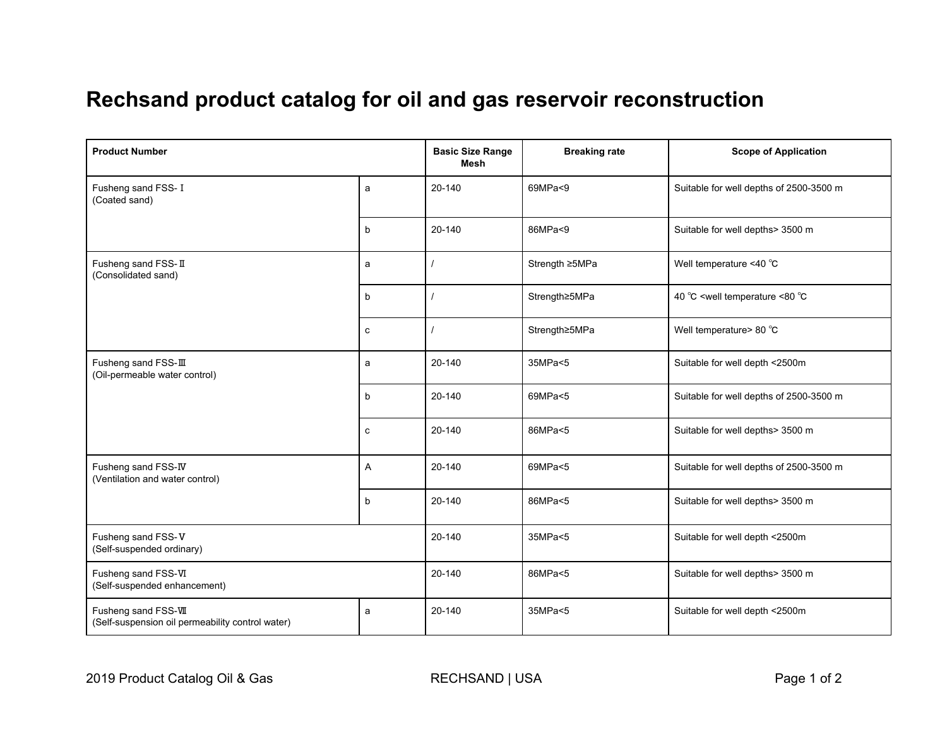## **Rechsand product catalog for oil and gas reservoir reconstruction**

| <b>Product Number</b>                                                    |             | <b>Basic Size Range</b><br><b>Mesh</b> | <b>Breaking rate</b> | <b>Scope of Application</b>                            |
|--------------------------------------------------------------------------|-------------|----------------------------------------|----------------------|--------------------------------------------------------|
| Fusheng sand FSS-I<br>(Coated sand)                                      | a           | 20-140                                 | 69MPa<9              | Suitable for well depths of 2500-3500 m                |
|                                                                          | b           | 20-140                                 | 86MPa<9              | Suitable for well depths> 3500 m                       |
| Fusheng sand FSS-II<br>(Consolidated sand)                               | a           |                                        | Strength ≥5MPa       | Well temperature <40 $^{\circ}$ C                      |
|                                                                          | b           |                                        | Strength≥5MPa        | 40 °C <well <80="" td="" temperature="" °c<=""></well> |
|                                                                          | c           |                                        | Strength≥5MPa        | Well temperature> 80 °C                                |
| Fusheng sand FSS-III<br>(Oil-permeable water control)                    | a           | 20-140                                 | 35MPa<5              | Suitable for well depth <2500m                         |
|                                                                          | b           | 20-140                                 | 69MPa<5              | Suitable for well depths of 2500-3500 m                |
|                                                                          | $\mathbf c$ | 20-140                                 | 86MPa<5              | Suitable for well depths> 3500 m                       |
| Fusheng sand FSS-IV<br>(Ventilation and water control)                   | Α           | 20-140                                 | 69MPa<5              | Suitable for well depths of 2500-3500 m                |
|                                                                          | b           | 20-140                                 | 86MPa<5              | Suitable for well depths> 3500 m                       |
| Fusheng sand FSS-V<br>(Self-suspended ordinary)                          |             | 20-140                                 | 35MPa<5              | Suitable for well depth <2500m                         |
| Fusheng sand FSS-VI<br>(Self-suspended enhancement)                      |             | 20-140                                 | 86MPa<5              | Suitable for well depths> 3500 m                       |
| Fusheng sand FSS-VII<br>(Self-suspension oil permeability control water) | a           | 20-140                                 | 35MPa<5              | Suitable for well depth <2500m                         |